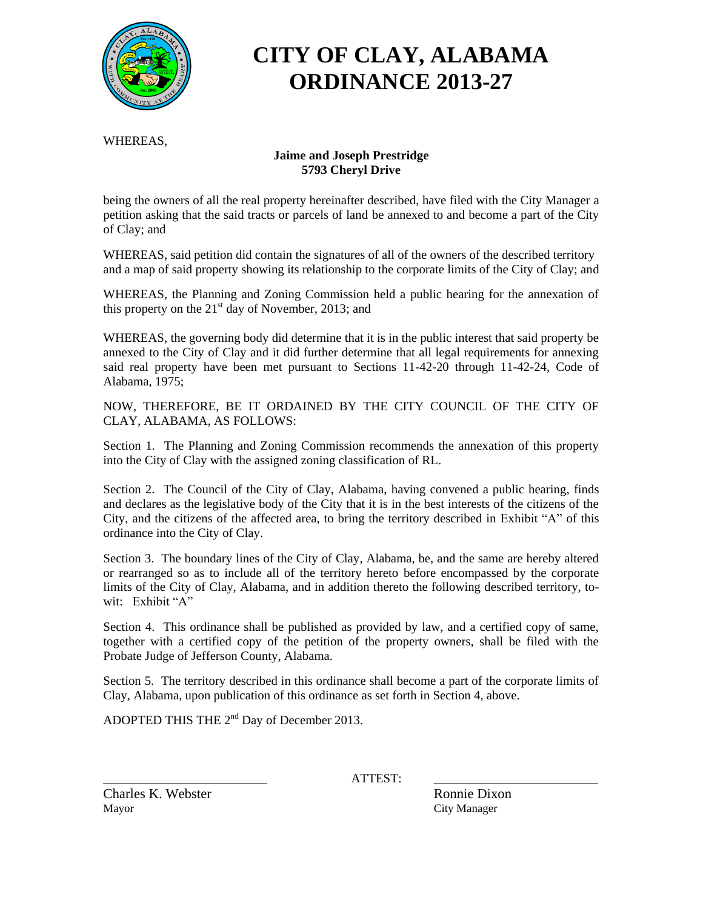

# **CITY OF CLAY, ALABAMA ORDINANCE 2013-27**

WHEREAS,

#### **Jaime and Joseph Prestridge 5793 Cheryl Drive**

being the owners of all the real property hereinafter described, have filed with the City Manager a petition asking that the said tracts or parcels of land be annexed to and become a part of the City of Clay; and

WHEREAS, said petition did contain the signatures of all of the owners of the described territory and a map of said property showing its relationship to the corporate limits of the City of Clay; and

WHEREAS, the Planning and Zoning Commission held a public hearing for the annexation of this property on the  $21<sup>st</sup>$  day of November, 2013; and

WHEREAS, the governing body did determine that it is in the public interest that said property be annexed to the City of Clay and it did further determine that all legal requirements for annexing said real property have been met pursuant to Sections 11-42-20 through 11-42-24, Code of Alabama, 1975;

NOW, THEREFORE, BE IT ORDAINED BY THE CITY COUNCIL OF THE CITY OF CLAY, ALABAMA, AS FOLLOWS:

Section 1. The Planning and Zoning Commission recommends the annexation of this property into the City of Clay with the assigned zoning classification of RL.

Section 2. The Council of the City of Clay, Alabama, having convened a public hearing, finds and declares as the legislative body of the City that it is in the best interests of the citizens of the City, and the citizens of the affected area, to bring the territory described in Exhibit "A" of this ordinance into the City of Clay.

Section 3. The boundary lines of the City of Clay, Alabama, be, and the same are hereby altered or rearranged so as to include all of the territory hereto before encompassed by the corporate limits of the City of Clay, Alabama, and in addition thereto the following described territory, towit: Exhibit "A"

Section 4. This ordinance shall be published as provided by law, and a certified copy of same, together with a certified copy of the petition of the property owners, shall be filed with the Probate Judge of Jefferson County, Alabama.

Section 5. The territory described in this ordinance shall become a part of the corporate limits of Clay, Alabama, upon publication of this ordinance as set forth in Section 4, above.

ADOPTED THIS THE  $2<sup>nd</sup>$  Day of December 2013.

\_\_\_\_\_\_\_\_\_\_\_\_\_\_\_\_\_\_\_\_\_\_\_\_\_\_ ATTEST: \_\_\_\_\_\_\_\_\_\_\_\_\_\_\_\_\_\_\_\_\_\_\_\_\_\_

Charles K. Webster **Ronnie Dixon** Mayor City Manager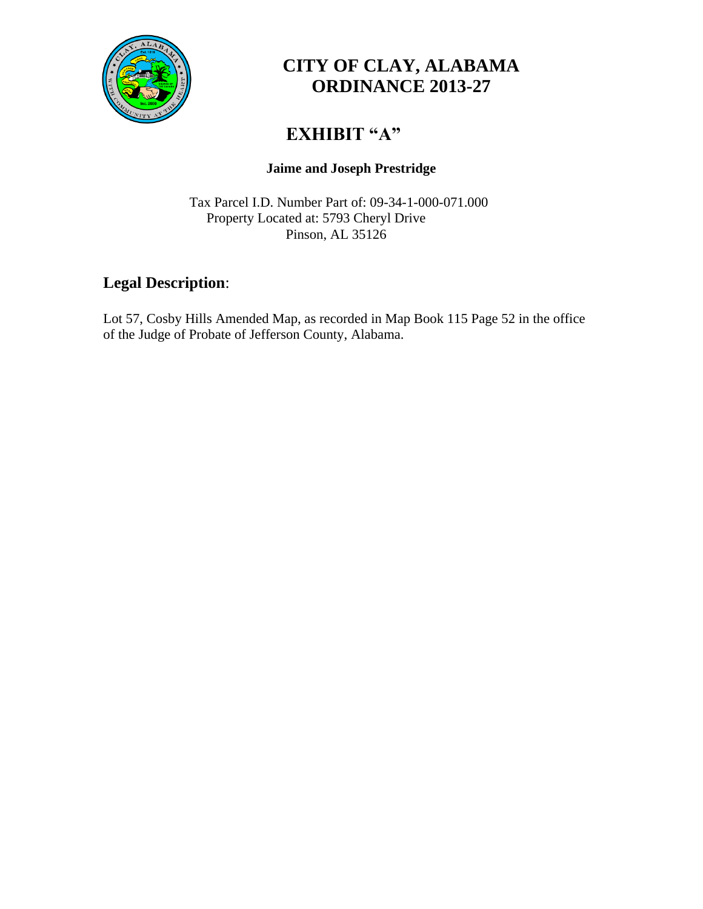

### **CITY OF CLAY, ALABAMA ORDINANCE 2013-27**

## **EXHIBIT "A"**

#### **Jaime and Joseph Prestridge**

Tax Parcel I.D. Number Part of: 09-34-1-000-071.000 Property Located at: 5793 Cheryl Drive Pinson, AL 35126

#### **Legal Description**:

Lot 57, Cosby Hills Amended Map, as recorded in Map Book 115 Page 52 in the office of the Judge of Probate of Jefferson County, Alabama.